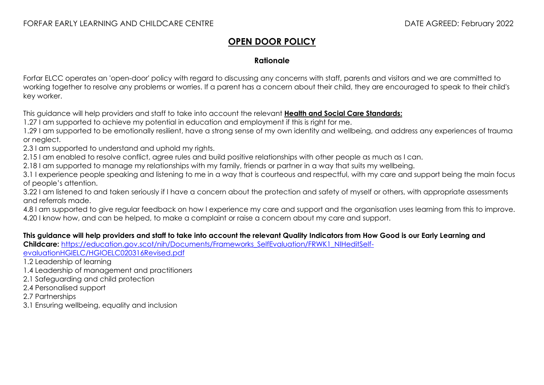## **OPEN DOOR POLICY**

## **Rationale**

Forfar ELCC operates an 'open-door' policy with regard to discussing any concerns with staff, parents and visitors and we are committed to working together to resolve any problems or worries. If a parent has a concern about their child, they are encouraged to speak to their child's key worker.

This guidance will help providers and staff to take into account the relevant **[Health and Social Care Standards:](https://www.gov.scot/binaries/content/documents/govscot/publications/advice-and-guidance/2017/06/health-social-care-standards-support-life/documents/00520693-pdf/00520693-pdf/govscot%3Adocument/00520693.pdf)**

1.27 I am supported to achieve my potential in education and employment if this is riaht for me.

1.29 I am supported to be emotionally resilient, have a strong sense of my own identity and wellbeing, and address any experiences of trauma or neglect.

2.3 I am supported to understand and uphold my rights.

2.15 I am enabled to resolve conflict, agree rules and build positive relationships with other people as much as I can.

2.18 I am supported to manage my relationships with my family, friends or partner in a way that suits my wellbeing.

3.1 I experience people speaking and listening to me in a way that is courteous and respectful, with my care and support being the main focus of people's attention.

3.22 I am listened to and taken seriously if I have a concern about the protection and safety of myself or others, with appropriate assessments and referrals made.

4.8 I am supported to give regular feedback on how I experience my care and support and the organisation uses learning from this to improve. 4.20 I know how, and can be helped, to make a complaint or raise a concern about my care and support.

## **This guidance will help providers and staff to take into account the relevant Quality Indicators from How Good is our Early Learning and**

Childcare: https://education.gov.scot/nih/Documents/Frameworks SelfEvaluation/FRWK1\_NIHeditSelf-

[evaluationHGIELC/HGIOELC020316Revised.pdf](https://education.gov.scot/nih/Documents/Frameworks_SelfEvaluation/FRWK1_NIHeditSelf-evaluationHGIELC/HGIOELC020316Revised.pdf)

1.2 Leadership of learning

- 1.4 Leadership of management and practitioners
- 2.1 Safeguarding and child protection
- 2.4 Personalised support

2.7 Partnerships

3.1 Ensuring wellbeing, equality and inclusion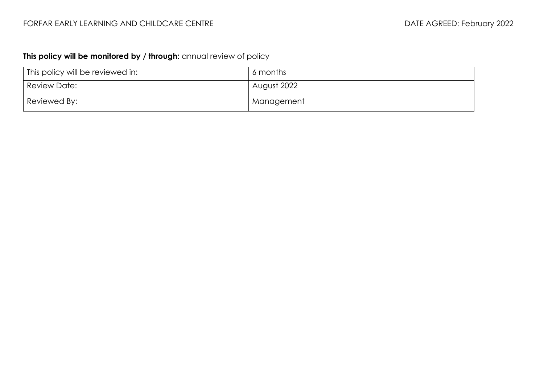## **This policy will be monitored by / through:** annual review of policy

| This policy will be reviewed in: | 6 months    |
|----------------------------------|-------------|
| Review Date:                     | August 2022 |
| Reviewed By:                     | Management  |